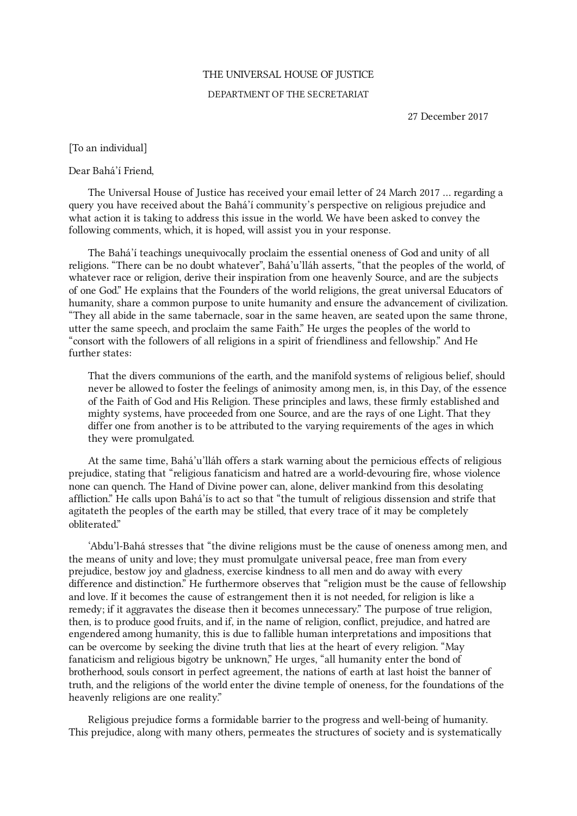## THE UNIVERSAL HOUSE OF JUSTICE

## DEPARTMENT OF THE SECRETARIAT

27 December 2017

[To an individual]

## Dear Bahá'í Friend,

The Universal House of Justice has received your email letter of 24 March 2017 … regarding a query you have received about the Bahá'í community's perspective on religious prejudice and what action it is taking to address this issue in the world. We have been asked to convey the following comments, which, it is hoped, will assist you in your response.

The Bahá'í teachings unequivocally proclaim the essential oneness of God and unity of all religions. "There can be no doubt whatever", Bahá'u'lláh asserts, "that the peoples of the world, of whatever race or religion, derive their inspiration from one heavenly Source, and are the subjects of one God." He explains that the Founders of the world religions, the great universal Educators of humanity, share a common purpose to unite humanity and ensure the advancement of civilization. "They all abide in the same tabernacle, soar in the same heaven, are seated upon the same throne, utter the same speech, and proclaim the same Faith." He urges the peoples of the world to "consort with the followers of all religions in a spirit of friendliness and fellowship." And He further states:

That the divers communions of the earth, and the manifold systems of religious belief, should never be allowed to foster the feelings of animosity among men, is, in this Day, of the essence of the Faith of God and His Religion. These principles and laws, these firmly established and mighty systems, have proceeded from one Source, and are the rays of one Light. That they differ one from another is to be attributed to the varying requirements of the ages in which they were promulgated.

At the same time, Bahá'u'lláh offers a stark warning about the pernicious effects of religious prejudice, stating that "religious fanaticism and hatred are a world-devouring fire, whose violence none can quench. The Hand of Divine power can, alone, deliver mankind from this desolating affliction." He calls upon Bahá'ís to act so that "the tumult of religious dissension and strife that agitateth the peoples of the earth may be stilled, that every trace of it may be completely obliterated."

'Abdu'l‑Bahá stresses that "the divine religions must be the cause of oneness among men, and the means of unity and love; they must promulgate universal peace, free man from every prejudice, bestow joy and gladness, exercise kindness to all men and do away with every difference and distinction." He furthermore observes that "religion must be the cause of fellowship and love. If it becomes the cause of estrangement then it is not needed, for religion is like a remedy; if it aggravates the disease then it becomes unnecessary." The purpose of true religion, then, is to produce good fruits, and if, in the name of religion, conflict, prejudice, and hatred are engendered among humanity, this is due to fallible human interpretations and impositions that can be overcome by seeking the divine truth that lies at the heart of every religion. "May fanaticism and religious bigotry be unknown," He urges, "all humanity enter the bond of brotherhood, souls consort in perfect agreement, the nations of earth at last hoist the banner of truth, and the religions of the world enter the divine temple of oneness, for the foundations of the heavenly religions are one reality."

Religious prejudice forms a formidable barrier to the progress and well-being of humanity. This prejudice, along with many others, permeates the structures of society and is systematically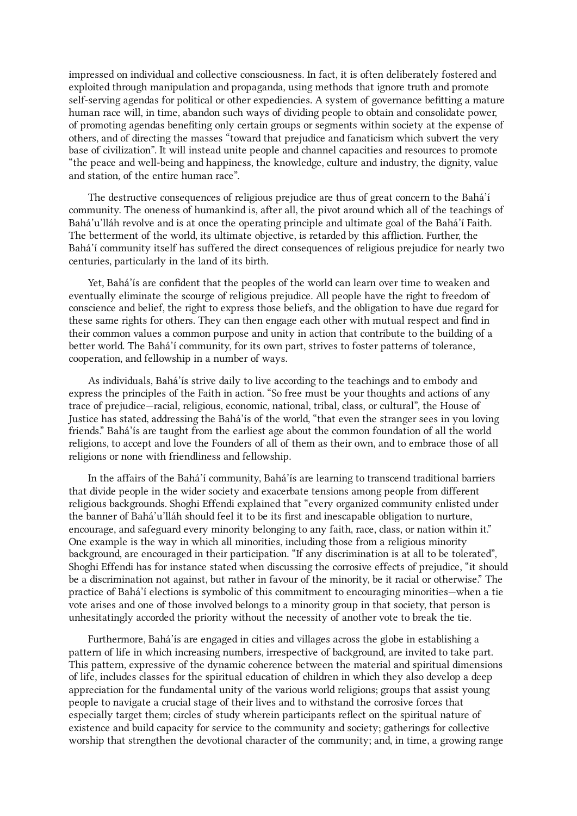impressed on individual and collective consciousness. In fact, it is often deliberately fostered and exploited through manipulation and propaganda, using methods that ignore truth and promote self-serving agendas for political or other expediencies. A system of governance befitting a mature human race will, in time, abandon such ways of dividing people to obtain and consolidate power, of promoting agendas benefiting only certain groups or segments within society at the expense of others, and of directing the masses "toward that prejudice and fanaticism which subvert the very base of civilization". It will instead unite people and channel capacities and resources to promote "the peace and well-being and happiness, the knowledge, culture and industry, the dignity, value and station, of the entire human race".

The destructive consequences of religious prejudice are thus of great concern to the Bahá'í community. The oneness of humankind is, after all, the pivot around which all of the teachings of Bahá'u'lláh revolve and is at once the operating principle and ultimate goal of the Bahá'í Faith. The betterment of the world, its ultimate objective, is retarded by this affliction. Further, the Bahá'í community itself has suffered the direct consequences of religious prejudice for nearly two centuries, particularly in the land of its birth.

Yet, Bahá'ís are confident that the peoples of the world can learn over time to weaken and eventually eliminate the scourge of religious prejudice. All people have the right to freedom of conscience and belief, the right to express those beliefs, and the obligation to have due regard for these same rights for others. They can then engage each other with mutual respect and find in their common values a common purpose and unity in action that contribute to the building of a better world. The Bahá'í community, for its own part, strives to foster patterns of tolerance, cooperation, and fellowship in a number of ways.

As individuals, Bahá'ís strive daily to live according to the teachings and to embody and express the principles of the Faith in action. "So free must be your thoughts and actions of any trace of prejudice—racial, religious, economic, national, tribal, class, or cultural", the House of Justice has stated, addressing the Bahá'ís of the world, "that even the stranger sees in you loving friends." Bahá'ís are taught from the earliest age about the common foundation of all the world religions, to accept and love the Founders of all of them as their own, and to embrace those of all religions or none with friendliness and fellowship.

In the affairs of the Bahá'í community, Bahá'ís are learning to transcend traditional barriers that divide people in the wider society and exacerbate tensions among people from different religious backgrounds. Shoghi Effendi explained that "every organized community enlisted under the banner of Bahá'u'lláh should feel it to be its first and inescapable obligation to nurture, encourage, and safeguard every minority belonging to any faith, race, class, or nation within it." One example is the way in which all minorities, including those from a religious minority background, are encouraged in their participation. "If any discrimination is at all to be tolerated", Shoghi Effendi has for instance stated when discussing the corrosive effects of prejudice, "it should be a discrimination not against, but rather in favour of the minority, be it racial or otherwise." The practice of Bahá'í elections is symbolic of this commitment to encouraging minorities—when a tie vote arises and one of those involved belongs to a minority group in that society, that person is unhesitatingly accorded the priority without the necessity of another vote to break the tie.

Furthermore, Bahá'ís are engaged in cities and villages across the globe in establishing a pattern of life in which increasing numbers, irrespective of background, are invited to take part. This pattern, expressive of the dynamic coherence between the material and spiritual dimensions of life, includes classes for the spiritual education of children in which they also develop a deep appreciation for the fundamental unity of the various world religions; groups that assist young people to navigate a crucial stage of their lives and to withstand the corrosive forces that especially target them; circles of study wherein participants reflect on the spiritual nature of existence and build capacity for service to the community and society; gatherings for collective worship that strengthen the devotional character of the community; and, in time, a growing range